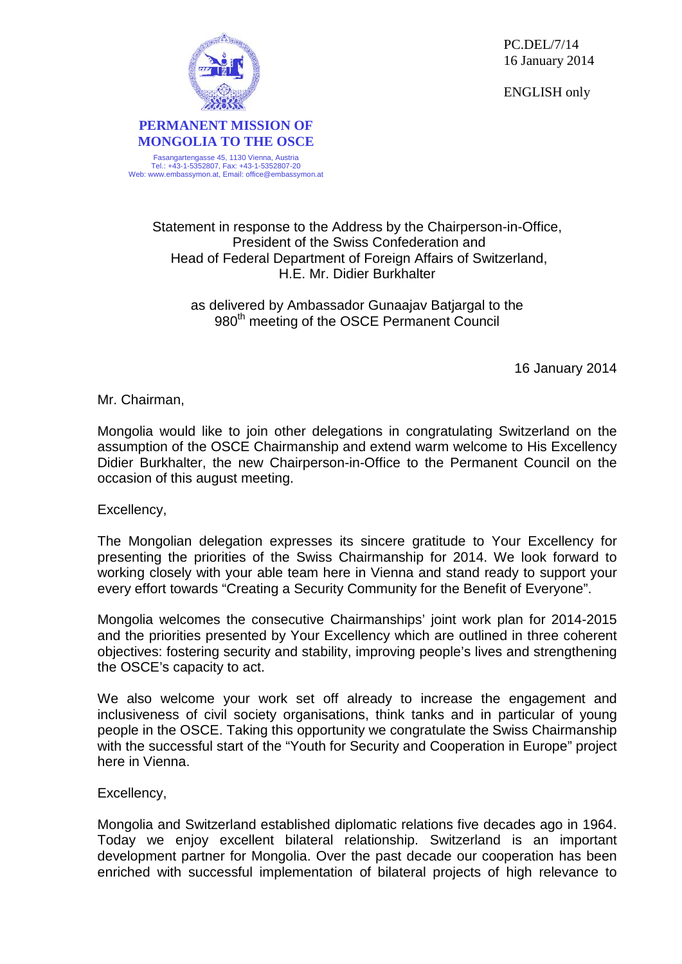PC.DEL/7/14 16 January 2014

ENGLISH only



**MONGOLIA TO THE OSCE** Fasangartengasse 45, 1130 Vienna, Austria Tel.: +43-1-5352807, Fax: +43-1-5352807-20 Web: www.embassymon.at, Email: office@embassymon.at

**PERMANENT MISSION OF**

## Statement in response to the Address by the Chairperson-in-Office, President of the Swiss Confederation and Head of Federal Department of Foreign Affairs of Switzerland,

as delivered by Ambassador Gunaajav Batjargal to the 980<sup>th</sup> meeting of the OSCE Permanent Council

H.E. Mr. Didier Burkhalter

16 January 2014

Mr. Chairman,

Mongolia would like to join other delegations in congratulating Switzerland on the assumption of the OSCE Chairmanship and extend warm welcome to His Excellency Didier Burkhalter, the new Chairperson-in-Office to the Permanent Council on the occasion of this august meeting.

Excellency,

The Mongolian delegation expresses its sincere gratitude to Your Excellency for presenting the priorities of the Swiss Chairmanship for 2014. We look forward to working closely with your able team here in Vienna and stand ready to support your every effort towards "Creating a Security Community for the Benefit of Everyone".

Mongolia welcomes the consecutive Chairmanships' joint work plan for 2014-2015 and the priorities presented by Your Excellency which are outlined in three coherent objectives: fostering security and stability, improving people's lives and strengthening the OSCE's capacity to act.

We also welcome your work set off already to increase the engagement and inclusiveness of civil society organisations, think tanks and in particular of young people in the OSCE. Taking this opportunity we congratulate the Swiss Chairmanship with the successful start of the "Youth for Security and Cooperation in Europe" project here in Vienna.

Excellency,

Mongolia and Switzerland established diplomatic relations five decades ago in 1964. Today we enjoy excellent bilateral relationship. Switzerland is an important development partner for Mongolia. Over the past decade our cooperation has been enriched with successful implementation of bilateral projects of high relevance to